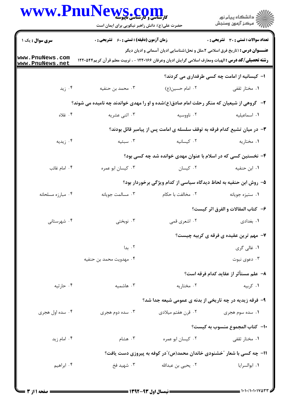|                                    | WWW.PnuNews.com<br>حضرت علی(ع): دانش راهبر نیکویی برای ایمان است                                                                                                                                      |                                                                          | انشڪاه پيام نور)<br>اڳ مرڪز آزمون وسنڊش                                                               |  |  |
|------------------------------------|-------------------------------------------------------------------------------------------------------------------------------------------------------------------------------------------------------|--------------------------------------------------------------------------|-------------------------------------------------------------------------------------------------------|--|--|
| <b>سری سوال :</b> یک ۱             | <b>زمان آزمون (دقیقه) : تستی : 60 ٪ تشریحی : 0</b>                                                                                                                                                    |                                                                          | <b>تعداد سوالات : تستي : 30 ٪ تشريحي : 0</b>                                                          |  |  |
| www.PnuNews.com<br>www.PnuNews.net | <b>عنـــوان درس :</b> (تاریخ فرق اسلامی ۲،ملل و نحل(شناسایی ادیان آسمانی و ادیان دیگر<br><b>رشته تحصیلی/کد درس :</b> الهیات ومعارف اسلامی گرایش ادیان وعرفان ۱۲۲۰۱۶۶ - ، تربیت معلم قر آن کریم۱۲۲۰۵۴۴ |                                                                          |                                                                                                       |  |  |
|                                    |                                                                                                                                                                                                       |                                                                          | ۱– کیسانیه از امامت چه کسی طرفداری می کردند؟                                                          |  |  |
| ۰۴ زید                             | ۰۳ محمد بن حنفیه                                                                                                                                                                                      | ۰۲ امام حسین(ع)                                                          | ۰۱ مختار ثقفی                                                                                         |  |  |
|                                    | ۲- گروهی از شیعیان که منکر رحلت امام صادق(ع)شده و او را مهدی خواندند چه نامیده می شوند؟                                                                                                               |                                                                          |                                                                                                       |  |  |
| ۰۴ غلاه                            | ۰۳ اثنی عشریه                                                                                                                                                                                         | ۰۲ ناووسیه                                                               | ٠١. اسماعيليه                                                                                         |  |  |
|                                    |                                                                                                                                                                                                       | ۳- در میان تشیع کدام فرقه به توقف سلسله ی امامت پس از پیامبر قائل بودند؟ |                                                                                                       |  |  |
| ۰۴ زیدیه                           | ۰۳ سبئیه                                                                                                                                                                                              | ۰۲ کیسانیه                                                               | ۰۱ مختاریه                                                                                            |  |  |
|                                    | ۴– نخستین کسی که در اسلام با عنوان مهدی خوانده شد چه کسی بود؟                                                                                                                                         |                                                                          |                                                                                                       |  |  |
| ۰۴ امام غائب                       | ۰۳ کیسان ابو عمره                                                                                                                                                                                     | ۰۲ کیسان                                                                 | ٠١. ابن حنفيه                                                                                         |  |  |
|                                    | ۵– روش ابن حنفیه به لحاظ دیدگاه سیاسی از کدام ویژگی برخوردار بود؟                                                                                                                                     |                                                                          |                                                                                                       |  |  |
| ۰۴ مبارزه مسلحانه                  | ۰۳ مسالمت جويانه                                                                                                                                                                                      | ٢. مخالفت با حكام                                                        | ٠١ ستيزه جويانه                                                                                       |  |  |
|                                    |                                                                                                                                                                                                       |                                                                          | ۶- كتاب المقالات و الفرق اثر كيست؟                                                                    |  |  |
| ۰۴ شهرستانی                        | ۰۳ نوبختی                                                                                                                                                                                             |                                                                          | ١. بغدادي مسيسم المسلم المسلم المسلم المسلم المسلم المسلم المسلم المسلم المسلم المسلم المسلم المسلم ا |  |  |
|                                    |                                                                                                                                                                                                       |                                                                          | ۷- مهم ترین عقیده ی فرقه ی کربیه چیست؟                                                                |  |  |
|                                    | ۰۲ بدا                                                                                                                                                                                                |                                                                          | ۰۱ غالي گري                                                                                           |  |  |
|                                    | ۰۴ مهدويت محمد بن حنفيه                                                                                                                                                                               |                                                                          | دعوى نبوت $\cdot$ ۳ .                                                                                 |  |  |
|                                    |                                                                                                                                                                                                       |                                                                          | ٨– علم مستأثر از عقايد كدام فرقه است؟                                                                 |  |  |
| ۰۴ حارثيه                          | ۰۳ هاشمیه                                                                                                                                                                                             | ۰۲ مختاریه                                                               | ۰۱ کربیه                                                                                              |  |  |
|                                    |                                                                                                                                                                                                       | ۹- فرقه زیدیه در چه تاریخی از بدنه ی عمومی شیعه جدا شد؟                  |                                                                                                       |  |  |
| ۰۴ سده اول هجری                    | ۰۳ سده دوم هجری                                                                                                                                                                                       | ۰۲ قرن هفتم میلادی                                                       | ۰۱ سده سوم هجری                                                                                       |  |  |
|                                    |                                                                                                                                                                                                       |                                                                          | -١- كتاب المجموع منسوب به كيست؟                                                                       |  |  |
| ۰۴ امام زید                        | ۰۳ هشام                                                                                                                                                                                               | ٠٢ كيسان ابو عمره                                                        | ۰۱ مختار ثقفی                                                                                         |  |  |
|                                    |                                                                                                                                                                                                       | 1۱- چه کسی با شعار "خشنودی خاندان محمد(ص)"در کوفه به پیروزی دست یافت؟    |                                                                                                       |  |  |
| ۰۴ ابراهيم                         | ۰۳ شهید فخ                                                                                                                                                                                            | ۰۲ یحیی بن عبدالله                                                       | ٠١. ابوالسرايا                                                                                        |  |  |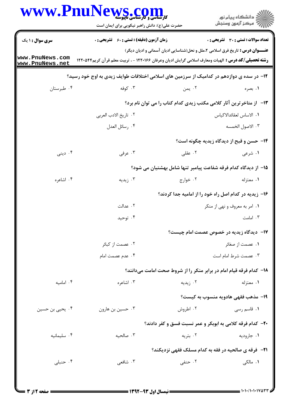| ڪ دانشڪاه پيام نور<br>∕7 مرڪز آزمون وسنڊش          |                                                                                                                                                                                                      | WWW.PnuNews.com<br>حضرت علی(ع): دانش راهبر نیکویی برای ایمان است |                        |
|----------------------------------------------------|------------------------------------------------------------------------------------------------------------------------------------------------------------------------------------------------------|------------------------------------------------------------------|------------------------|
| <b>تعداد سوالات : تستی : 30 ٪ تشریحی : 0</b>       |                                                                                                                                                                                                      | <b>زمان آزمون (دقیقه) : تستی : 60 ٪ تشریحی : 0</b>               | <b>سری سوال : ۱ یک</b> |
|                                                    | <b>عنـــوان درس :</b> تاریخ فرق اسلامی ۲،ملل و نحل(شناسایی ادیان آسمانی و ادیان دیگر)<br><b>رشته تحصیلی/کد درس :</b> الهیات ومعارف اسلامی گرایش ادیان وعرفان ۱۲۲۰۱۶۶ - ، تربیت معلم قرآن کریم۱۲۲۰۵۴۴ |                                                                  | www.PnuNews.com        |
|                                                    | ۱۲– در سده ی دوازدهم در کدامیک از سرزمین های اسلامی اختلافات طوایف زیدی به اوج خود رسید؟                                                                                                             |                                                                  | www.PnuNews.net        |
| ۰۱ بصره                                            | ۰۲ يمن                                                                                                                                                                                               | ۰۳ کوفه                                                          | ۰۴ طبرستان             |
|                                                    | ۱۳-۔ از متاخرترین آثار کلامی مکتب زیدی کدام کتاب را می توان نام برد؟                                                                                                                                 |                                                                  |                        |
| ٠١. الاساس لعقائدالاكياس                           |                                                                                                                                                                                                      | ٠٢ تاريخ الادب العربي                                            |                        |
| ۰۳ الاصول الخمسه                                   |                                                                                                                                                                                                      | ۰۴ رسائل العدل                                                   |                        |
| <b>۱۴- حسن و قبح از دیدگاه زیدیه چگونه است</b> ؟   |                                                                                                                                                                                                      |                                                                  |                        |
| ۰۱ شرعی                                            | ۲. عقلی                                                                                                                                                                                              | ۰۳ عرفی                                                          | ۰۴ دینی                |
|                                                    | 1۵– از دیدگاه کدام فرقه شفاعت پیامبر تنها شامل بهشتیان می شود؟                                                                                                                                       |                                                                  |                        |
| ۰۱ معتزله                                          | ۰۲ خوارج                                                                                                                                                                                             | ۰۳ زیدیه                                                         | ۰۴ اشاعره              |
|                                                    | ۱۶– زیدیه در کدام اصل راه خود را از امامیه جدا کردند؟                                                                                                                                                |                                                                  |                        |
| ۰۱ امر به معروف و نهی از منکر                      |                                                                                                                                                                                                      | ۰۲ عدالت                                                         |                        |
| ۰۳ امامت                                           |                                                                                                                                                                                                      | ۰۴ توحید                                                         |                        |
| <b>۱۷</b> –   دیدگاه زیدیه در خصوص عصمت امام چیست؟ |                                                                                                                                                                                                      |                                                                  |                        |
| ۰۱ عصمت از صغائر                                   |                                                                                                                                                                                                      | ۰۲ عصمت از کبائر                                                 |                        |
| ۰۳ عصمت شرط امام است                               |                                                                                                                                                                                                      | ۰۴ عدم عصمت امام                                                 |                        |
|                                                    | ۱۸- کدام فرقه قیام امام در برابر منکر را از شروط صحت امامت میدانند؟                                                                                                                                  |                                                                  |                        |
| ۱. معتزله                                          | ۰۲ زیدیه                                                                                                                                                                                             | ۰۳ اشاعره                                                        | ۰۴ امامیه              |
| 19- مذهب فقهي هادويه منسوب به كيست؟                |                                                                                                                                                                                                      |                                                                  |                        |
| ۰۱ قاسم رسی                                        | ۰۲ اطروش                                                                                                                                                                                             | ۰۳ حسین بن هارون                                                 | ۰۴ یحیی بن حسین        |
|                                                    | ۲۰- کدام فرقه کلامی به ابوبکر و عمر نسبت فسق و کفر دادند؟                                                                                                                                            |                                                                  |                        |
| ۰۱ جارودیه                                         | ۰۲ بتریه                                                                                                                                                                                             | ۰۳ صالحيه                                                        | ۰۴ سلیمانیه            |
|                                                    | <b>۲۱</b> - فرقه ی صالحیه در فقه به کدام مسلک فقهی نزدیکند؟                                                                                                                                          |                                                                  |                        |
| ۰۱ مالک <sub>ی</sub>                               | ۰۲ حنفی                                                                                                                                                                                              | ۰۳ شافعی                                                         | ۰۴ حنبلی               |